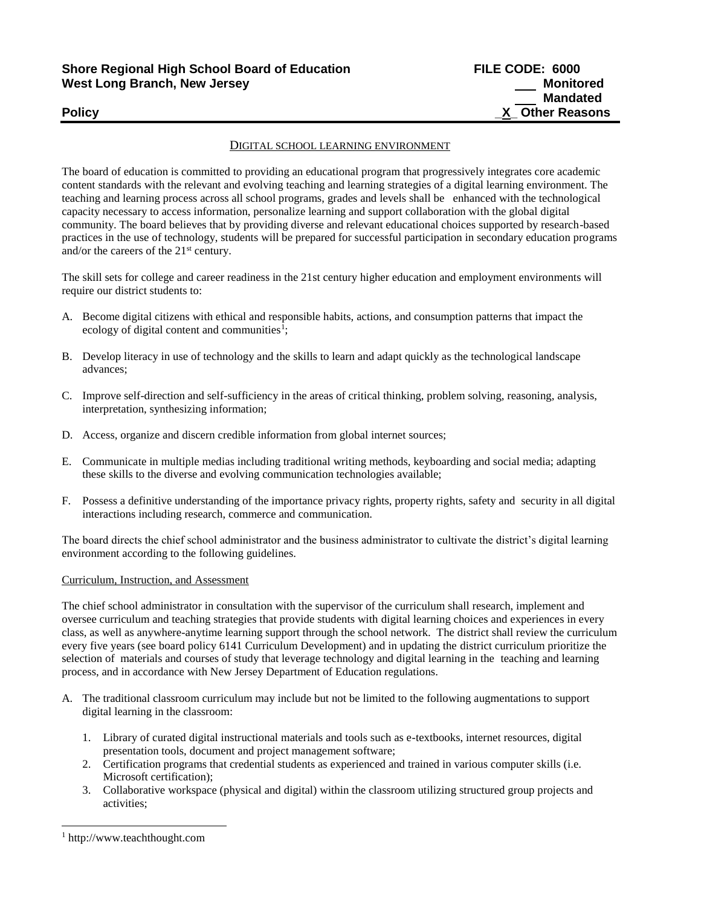# **Shore Regional High School Board of Education FILE CODE: 6000 West Long Branch, New Jersey Monitored**

# DIGITAL SCHOOL LEARNING ENVIRONMENT

The board of education is committed to providing an educational program that progressively integrates core academic content standards with the relevant and evolving teaching and learning strategies of a digital learning environment. The teaching and learning process across all school programs, grades and levels shall be enhanced with the technological capacity necessary to access information, personalize learning and support collaboration with the global digital community. The board believes that by providing diverse and relevant educational choices supported by research-based practices in the use of technology, students will be prepared for successful participation in secondary education programs and/or the careers of the  $21<sup>st</sup>$  century.

The skill sets for college and career readiness in the 21st century higher education and employment environments will require our district students to:

- A. Become digital citizens with ethical and responsible habits, actions, and consumption patterns that impact the ecology of digital content and communities<sup>1</sup>;
- B. Develop literacy in use of technology and the skills to learn and adapt quickly as the technological landscape advances;
- C. Improve self-direction and self-sufficiency in the areas of critical thinking, problem solving, reasoning, analysis, interpretation, synthesizing information;
- D. Access, organize and discern credible information from global internet sources;
- E. Communicate in multiple medias including traditional writing methods, keyboarding and social media; adapting these skills to the diverse and evolving communication technologies available;
- F. Possess a definitive understanding of the importance privacy rights, property rights, safety and security in all digital interactions including research, commerce and communication.

The board directs the chief school administrator and the business administrator to cultivate the district's digital learning environment according to the following guidelines.

#### Curriculum, Instruction, and Assessment

The chief school administrator in consultation with the supervisor of the curriculum shall research, implement and oversee curriculum and teaching strategies that provide students with digital learning choices and experiences in every class, as well as anywhere-anytime learning support through the school network. The district shall review the curriculum every five years (see board policy 6141 Curriculum Development) and in updating the district curriculum prioritize the selection of materials and courses of study that leverage technology and digital learning in the teaching and learning process, and in accordance with New Jersey Department of Education regulations.

- A. The traditional classroom curriculum may include but not be limited to the following augmentations to support digital learning in the classroom:
	- 1. Library of curated digital instructional materials and tools such as e-textbooks, internet resources, digital presentation tools, document and project management software;
	- 2. Certification programs that credential students as experienced and trained in various computer skills (i.e. Microsoft certification);
	- 3. Collaborative workspace (physical and digital) within the classroom utilizing structured group projects and activities;

l

<sup>1</sup> http://www.teachthought.com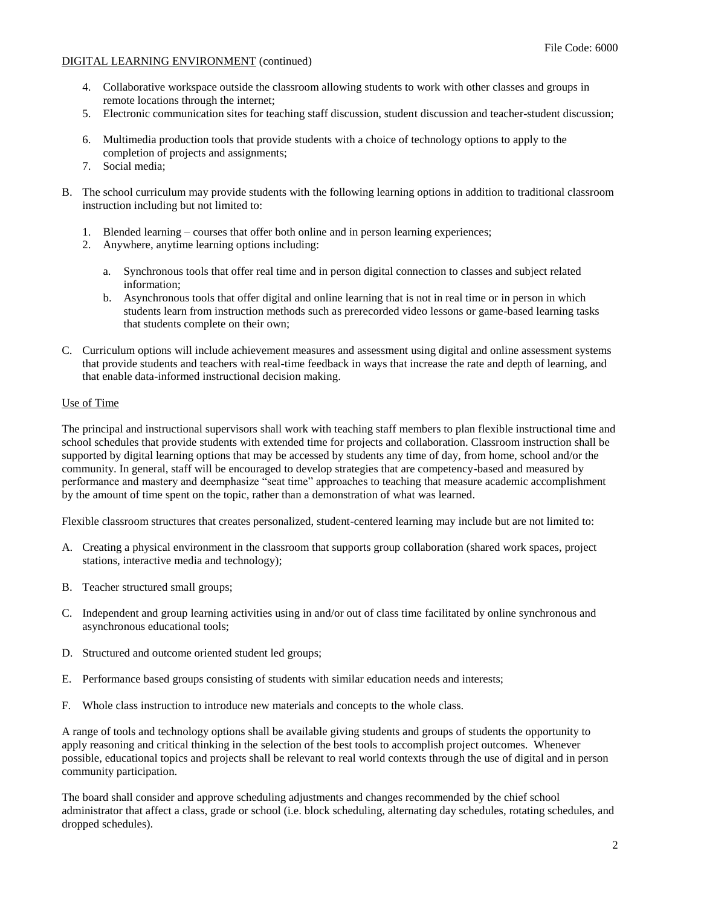- 4. Collaborative workspace outside the classroom allowing students to work with other classes and groups in remote locations through the internet;
- 5. Electronic communication sites for teaching staff discussion, student discussion and teacher-student discussion;
- 6. Multimedia production tools that provide students with a choice of technology options to apply to the completion of projects and assignments;
- 7. Social media;
- B. The school curriculum may provide students with the following learning options in addition to traditional classroom instruction including but not limited to:
	- 1. Blended learning courses that offer both online and in person learning experiences;
	- 2. Anywhere, anytime learning options including:
		- a. Synchronous tools that offer real time and in person digital connection to classes and subject related information;
		- b. Asynchronous tools that offer digital and online learning that is not in real time or in person in which students learn from instruction methods such as prerecorded video lessons or game-based learning tasks that students complete on their own;
- C. Curriculum options will include achievement measures and assessment using digital and online assessment systems that provide students and teachers with real-time feedback in ways that increase the rate and depth of learning, and that enable data-informed instructional decision making.

## Use of Time

The principal and instructional supervisors shall work with teaching staff members to plan flexible instructional time and school schedules that provide students with extended time for projects and collaboration. Classroom instruction shall be supported by digital learning options that may be accessed by students any time of day, from home, school and/or the community. In general, staff will be encouraged to develop strategies that are competency-based and measured by performance and mastery and deemphasize "seat time" approaches to teaching that measure academic accomplishment by the amount of time spent on the topic, rather than a demonstration of what was learned.

Flexible classroom structures that creates personalized, student-centered learning may include but are not limited to:

- A. Creating a physical environment in the classroom that supports group collaboration (shared work spaces, project stations, interactive media and technology);
- B. Teacher structured small groups;
- C. Independent and group learning activities using in and/or out of class time facilitated by online synchronous and asynchronous educational tools;
- D. Structured and outcome oriented student led groups;
- E. Performance based groups consisting of students with similar education needs and interests;
- F. Whole class instruction to introduce new materials and concepts to the whole class.

A range of tools and technology options shall be available giving students and groups of students the opportunity to apply reasoning and critical thinking in the selection of the best tools to accomplish project outcomes. Whenever possible, educational topics and projects shall be relevant to real world contexts through the use of digital and in person community participation.

The board shall consider and approve scheduling adjustments and changes recommended by the chief school administrator that affect a class, grade or school (i.e. block scheduling, alternating day schedules, rotating schedules, and dropped schedules).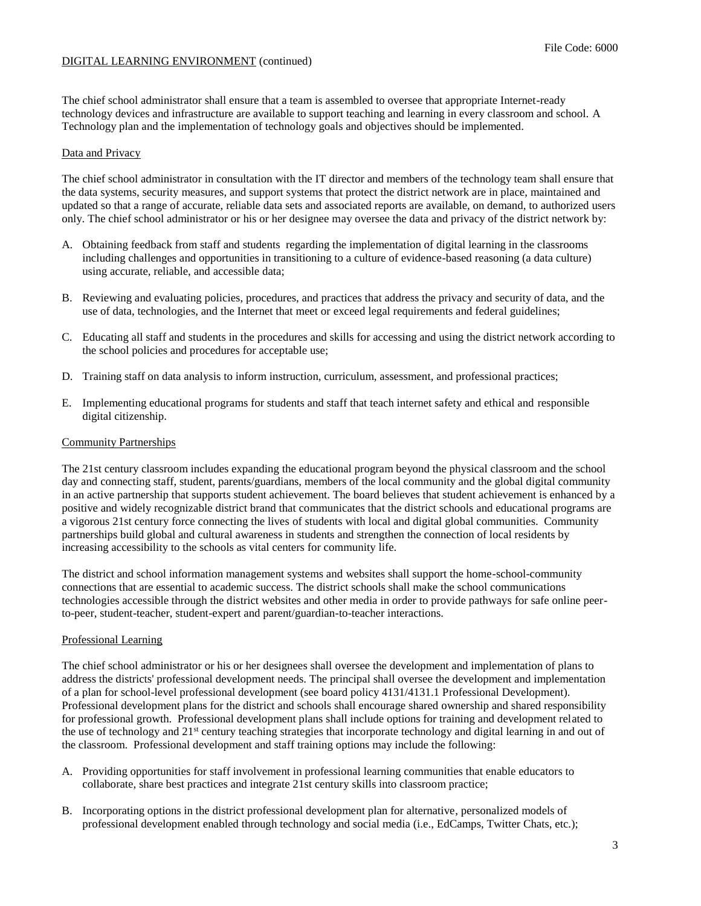The chief school administrator shall ensure that a team is assembled to oversee that appropriate Internet-ready technology devices and infrastructure are available to support teaching and learning in every classroom and school. A Technology plan and the implementation of technology goals and objectives should be implemented.

#### Data and Privacy

The chief school administrator in consultation with the IT director and members of the technology team shall ensure that the data systems, security measures, and support systems that protect the district network are in place, maintained and updated so that a range of accurate, reliable data sets and associated reports are available, on demand, to authorized users only. The chief school administrator or his or her designee may oversee the data and privacy of the district network by:

- A. Obtaining feedback from staff and students regarding the implementation of digital learning in the classrooms including challenges and opportunities in transitioning to a culture of evidence-based reasoning (a data culture) using accurate, reliable, and accessible data;
- B. Reviewing and evaluating policies, procedures, and practices that address the privacy and security of data, and the use of data, technologies, and the Internet that meet or exceed legal requirements and federal guidelines;
- C. Educating all staff and students in the procedures and skills for accessing and using the district network according to the school policies and procedures for acceptable use;
- D. Training staff on data analysis to inform instruction, curriculum, assessment, and professional practices;
- E. Implementing educational programs for students and staff that teach internet safety and ethical and responsible digital citizenship.

### Community Partnerships

The 21st century classroom includes expanding the educational program beyond the physical classroom and the school day and connecting staff, student, parents/guardians, members of the local community and the global digital community in an active partnership that supports student achievement. The board believes that student achievement is enhanced by a positive and widely recognizable district brand that communicates that the district schools and educational programs are a vigorous 21st century force connecting the lives of students with local and digital global communities. Community partnerships build global and cultural awareness in students and strengthen the connection of local residents by increasing accessibility to the schools as vital centers for community life.

The district and school information management systems and websites shall support the home-school-community connections that are essential to academic success. The district schools shall make the school communications technologies accessible through the district websites and other media in order to provide pathways for safe online peerto-peer, student-teacher, student-expert and parent/guardian-to-teacher interactions.

#### Professional Learning

The chief school administrator or his or her designees shall oversee the development and implementation of plans to address the districts' professional development needs. The principal shall oversee the development and implementation of a plan for school-level professional development (see board policy 4131/4131.1 Professional Development). Professional development plans for the district and schools shall encourage shared ownership and shared responsibility for professional growth. Professional development plans shall include options for training and development related to the use of technology and 21<sup>st</sup> century teaching strategies that incorporate technology and digital learning in and out of the classroom. Professional development and staff training options may include the following:

- A. Providing opportunities for staff involvement in professional learning communities that enable educators to collaborate, share best practices and integrate 21st century skills into classroom practice;
- B. Incorporating options in the district professional development plan for alternative, personalized models of professional development enabled through technology and social media (i.e., EdCamps, Twitter Chats, etc.);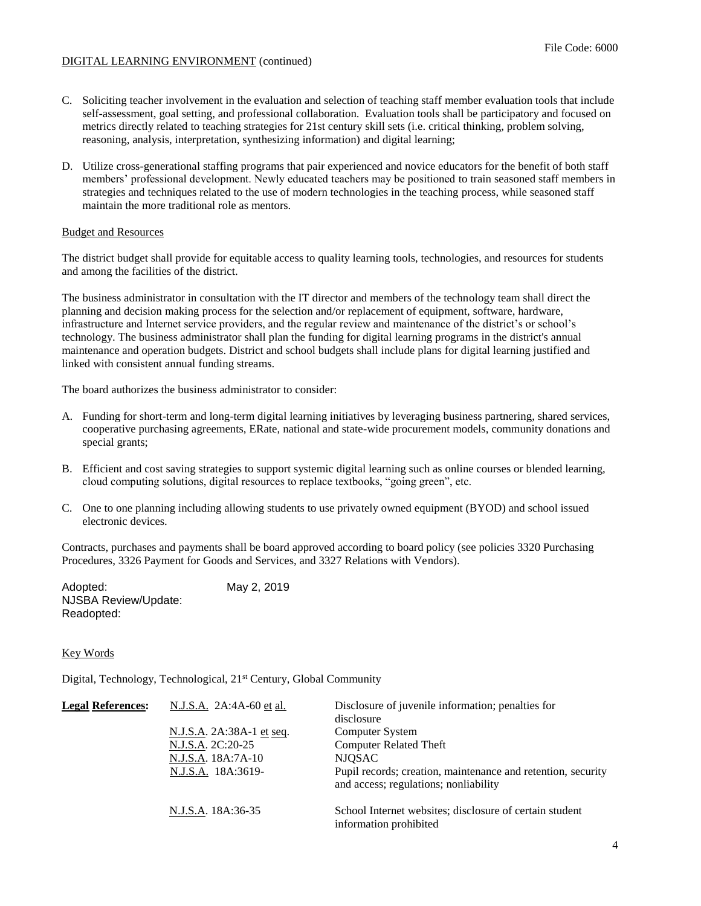- C. Soliciting teacher involvement in the evaluation and selection of teaching staff member evaluation tools that include self-assessment, goal setting, and professional collaboration. Evaluation tools shall be participatory and focused on metrics directly related to teaching strategies for 21st century skill sets (i.e. critical thinking, problem solving, reasoning, analysis, interpretation, synthesizing information) and digital learning;
- D. Utilize cross-generational staffing programs that pair experienced and novice educators for the benefit of both staff members' professional development. Newly educated teachers may be positioned to train seasoned staff members in strategies and techniques related to the use of modern technologies in the teaching process, while seasoned staff maintain the more traditional role as mentors.

### Budget and Resources

The district budget shall provide for equitable access to quality learning tools, technologies, and resources for students and among the facilities of the district.

The business administrator in consultation with the IT director and members of the technology team shall direct the planning and decision making process for the selection and/or replacement of equipment, software, hardware, infrastructure and Internet service providers, and the regular review and maintenance of the district's or school's technology. The business administrator shall plan the funding for digital learning programs in the district's annual maintenance and operation budgets. District and school budgets shall include plans for digital learning justified and linked with consistent annual funding streams.

The board authorizes the business administrator to consider:

- A. Funding for short-term and long-term digital learning initiatives by leveraging business partnering, shared services, cooperative purchasing agreements, ERate, national and state-wide procurement models, community donations and special grants;
- B. Efficient and cost saving strategies to support systemic digital learning such as online courses or blended learning, cloud computing solutions, digital resources to replace textbooks, "going green", etc.
- C. One to one planning including allowing students to use privately owned equipment (BYOD) and school issued electronic devices.

Contracts, purchases and payments shall be board approved according to board policy (see policies 3320 Purchasing Procedures, 3326 Payment for Goods and Services, and 3327 Relations with Vendors).

| Adopted:                    | May 2, 2019 |
|-----------------------------|-------------|
| <b>NJSBA Review/Update:</b> |             |
| Readopted:                  |             |

#### Key Words

Digital, Technology, Technological, 21<sup>st</sup> Century, Global Community

| <b>Legal References:</b> | N.J.S.A. 2A:4A-60 et al.                 | Disclosure of juvenile information; penalties for<br>disclosure                                       |
|--------------------------|------------------------------------------|-------------------------------------------------------------------------------------------------------|
|                          | <u>N.J.S.A.</u> 2A:38A-1 <u>et seq</u> . | Computer System                                                                                       |
|                          | N.J.S.A. 2C:20-25                        | <b>Computer Related Theft</b>                                                                         |
|                          | N.J.S.A. 18A:7A-10                       | <b>NJOSAC</b>                                                                                         |
|                          | N.J.S.A. 18A:3619-                       | Pupil records; creation, maintenance and retention, security<br>and access; regulations; nonliability |
|                          | N.J.S.A. 18A:36-35                       | School Internet websites; disclosure of certain student<br>information prohibited                     |